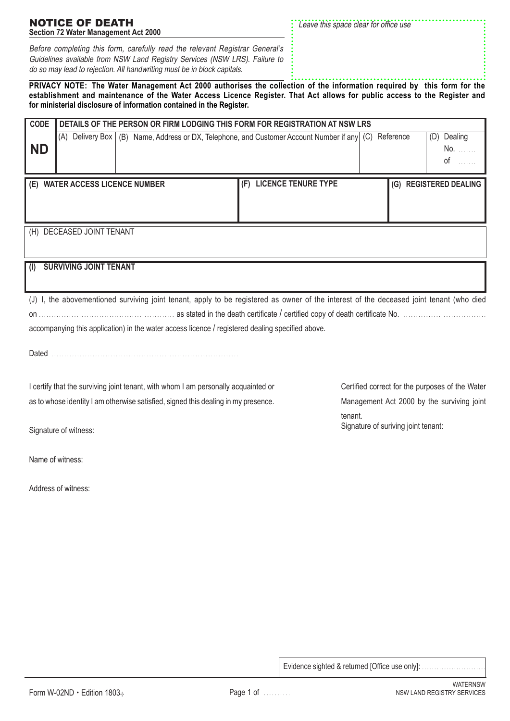|  | Evidence sighted & returned [Office use only]: |  |  |  |  |
|--|------------------------------------------------|--|--|--|--|
|  |                                                |  |  |  |  |

(D) Dealing No. . . . . . . . of . . . . . . .

## (H) DECEASED JOINT TENANT **(I) SURVIVING JOINT TENANT** (J) I, the abovementioned surviving joint tenant, apply to be registered as owner of the interest of the deceased joint tenant (who died on . . . . . . . . . . . . . . . . . . . . . . . . . . . . . . . . . . . . . . . . . . . . . . . . . . . . . . as stated in the death certificate / certified copy of death certificate No. . . . . . . . . . . . . . . . . . . . . . . . . . . . . . . . . . accompanying this application) in the water access licence / registered dealing specified above. Dated . . . . . . . . . . . . . . . . . . . . . . . . . . . . . . . . . . . . . . . . . . . . . . . . . . . . . . . . . . . . . . . . . . . . . . . . . **(E) WATER ACCESS LICENCE NUMBER (F) LICENCE TENURE TYPE (G) REGISTERED DEALING** Certified correct for the purposes of the Water Management Act 2000 by the surviving joint tenant. Signature of suriving joint tenant: I certify that the surviving joint tenant, with whom I am personally acquainted or as to whose identity I am otherwise satisfied, signed this dealing in my presence. Signature of witness: Name of witness: Address of witness:

Before completing this form, carefully read the relevant Registrar General's Guidelines available from NSW Land Registry Services (NSW LRS). Failure to do so may lead to rejection. All handwriting must be in block capitals.

**CODE**

**ND**

**PRIVACY NOTE: The Water Management Act 2000 authorises the collection of the information required by this form for the establishment and maintenance of the Water Access Licence Register. That Act allows for public access to the Register and for ministerial disclosure of information contained in the Register.**

| <b>NOTICE OF DEATH</b>                                                                                                                                                                                                                       | : Leave this space clear for office use |
|----------------------------------------------------------------------------------------------------------------------------------------------------------------------------------------------------------------------------------------------|-----------------------------------------|
| <b>Section 72 Water Management Act 2000</b>                                                                                                                                                                                                  |                                         |
| $\Box$ . And the same state of the same state of the same state of $\Box$ . The same state of $\Box$ . The same state of $\Box$ is the same state of $\Box$ is the same state of $\Box$ is the same state of $\Box$ is the same state of $\$ |                                         |

**DETAILS OF THE PERSON OR FIRM LODGING THIS FORM FOR REGISTRATION AT NSW LRS**

(A) Delivery Box (B) Name, Address or DX, Telephone, and Customer Account Number if any (C) Reference